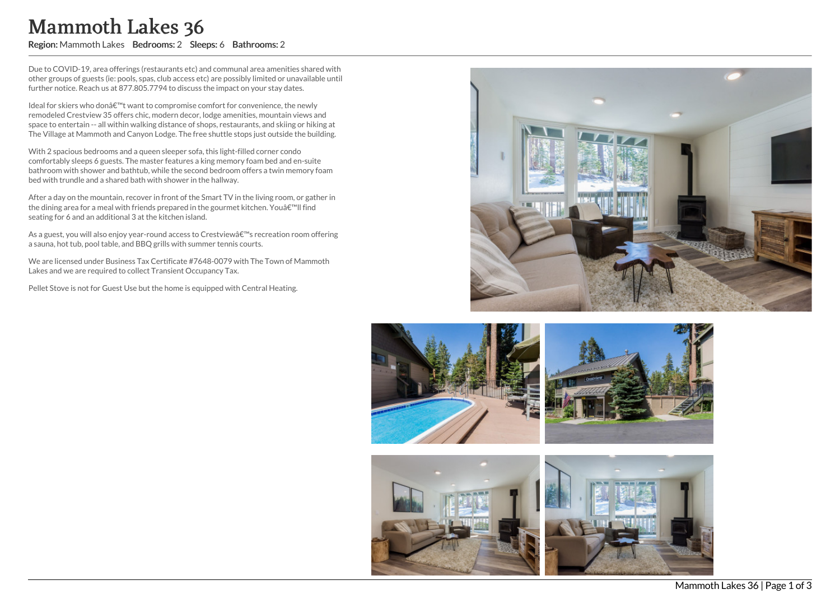## Mammoth Lakes 36

## Region: Mammoth Lakes Bedrooms: 2 Sleeps: 6 Bathrooms: 2

Due to COVID-19, area offerings (restaurants etc) and communal area amenities shared with other groups of guests (ie: pools, spas, club access etc) are possibly limited or unavailable until further notice. Reach us at 877.805.7794 to discuss the impact on your stay dates.

Ideal for skiers who donâ€<sup>™</sup>t want to compromise comfort for convenience, the newly remodeled Crestview 35 offers chic, modern decor, lodge amenities, mountain views and space to entertain -- all within walking distance of shops, restaurants, and skiing or hiking at The Village at Mammoth and Canyon Lodge. The free shuttle stops just outside the building.

With 2 spacious bedrooms and a queen sleeper sofa, this light-filled corner condo comfortably sleeps 6 guests. The master features a king memory foam bed and en-suite bathroom with shower and bathtub, while the second bedroom offers a twin memory foam bed with trundle and a shared bath with shower in the hallway.

After a day on the mountain, recover in front of the Smart TV in the living room, or gather in the dining area for a meal with friends prepared in the gourmet kitchen. You $\hat{\mathfrak{s}} \in \mathbb{M}$ l find seating for 6 and an additional 3 at the kitchen island.

As a guest, you will also enjoy year-round access to Crestviewâ€<sup>™</sup>s recreation room offering a sauna, hot tub, pool table, and BBQ grills with summer tennis courts.

We are licensed under Business Tax Certificate #7648-0079 with The Town of Mammoth Lakes and we are required to collect Transient Occupancy Tax.

Pellet Stove is not for Guest Use but the home is equipped with Central Heating.



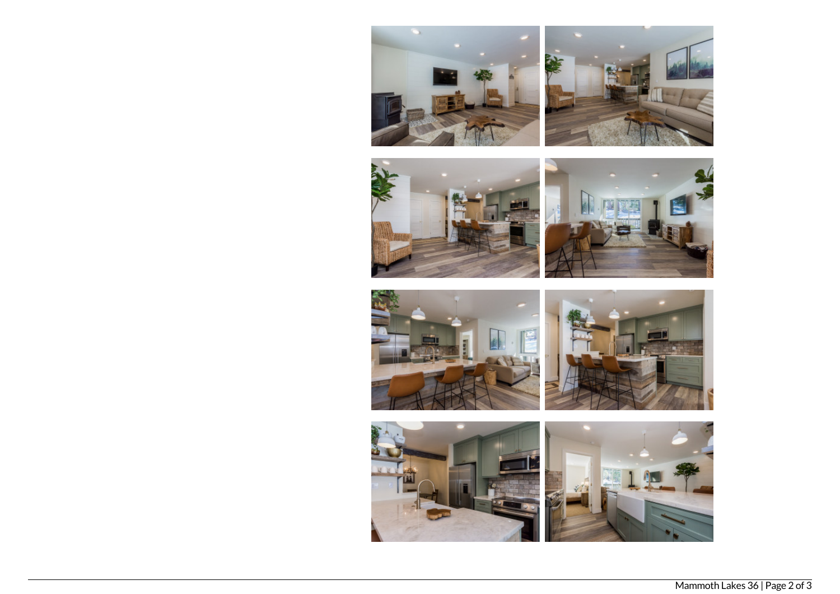